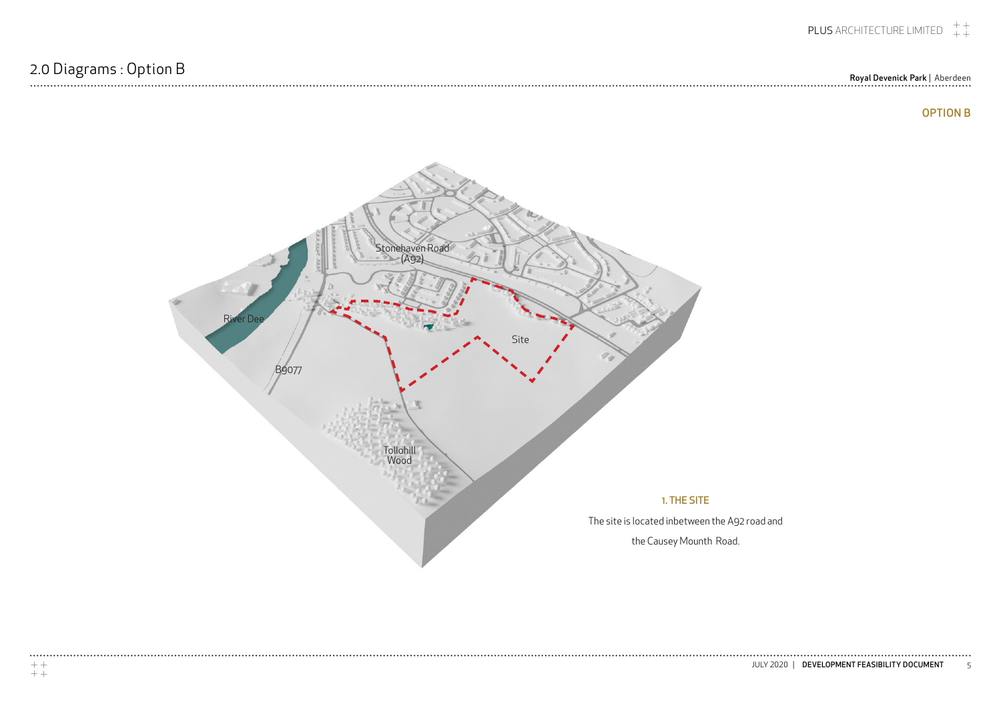## Royal Devenick Park | Aberdeen

 $\begin{array}{cccccccccccccc} \bullet & \bullet & \bullet & \bullet & \bullet & \bullet & \bullet & \bullet & \bullet & \bullet & \bullet \end{array}$ 



## OPTION B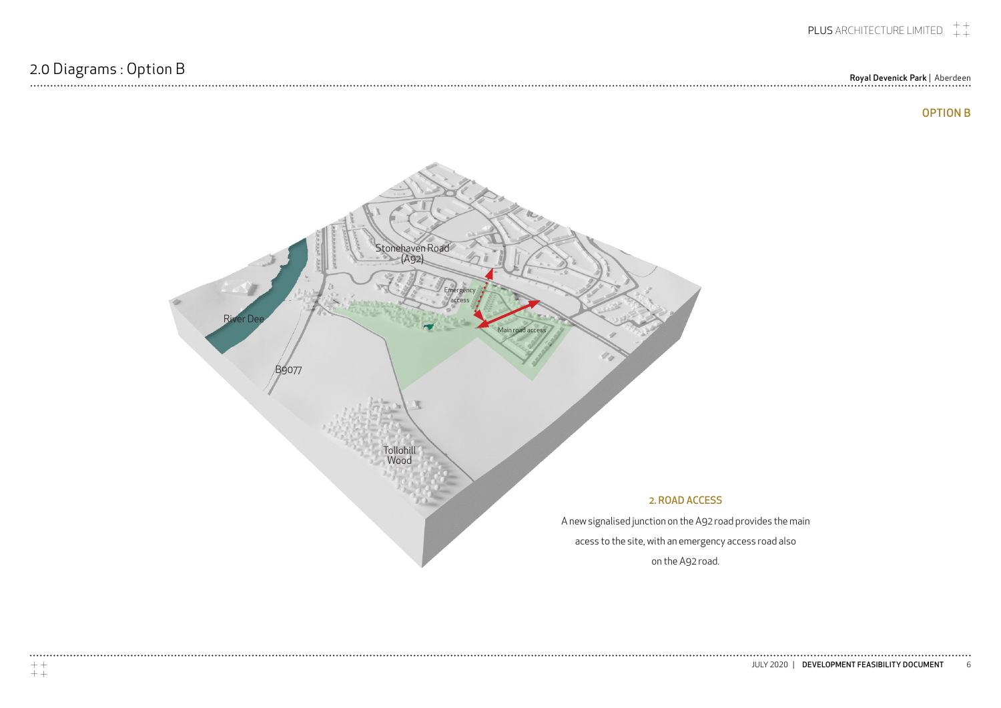Royal Devenick Park | Aberdeen

........



## OPTION B